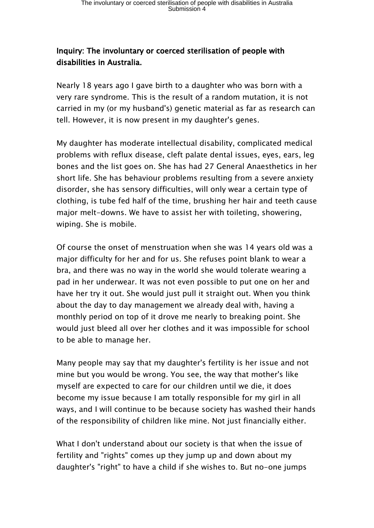## **Inquiry: The involuntary or coerced sterilisation of people with disabilities in Australia.**

Nearly 18 years ago I gave birth to a daughter who was born with a very rare syndrome. This is the result of a random mutation, it is not carried in my (or my husband's) genetic material as far as research can tell. However, it is now present in my daughter's genes.

My daughter has moderate intellectual disability, complicated medical problems with reflux disease, cleft palate dental issues, eyes, ears, leg bones and the list goes on. She has had 27 General Anaesthetics in her short life. She has behaviour problems resulting from a severe anxiety disorder, she has sensory difficulties, will only wear a certain type of clothing, is tube fed half of the time, brushing her hair and teeth cause major melt-downs. We have to assist her with toileting, showering, wiping. She is mobile.

Of course the onset of menstruation when she was 14 years old was a major difficulty for her and for us. She refuses point blank to wear a bra, and there was no way in the world she would tolerate wearing a pad in her underwear. It was not even possible to put one on her and have her try it out. She would just pull it straight out. When you think about the day to day management we already deal with, having a monthly period on top of it drove me nearly to breaking point. She would just bleed all over her clothes and it was impossible for school to be able to manage her.

Many people may say that my daughter's fertility is her issue and not mine but you would be wrong. You see, the way that mother's like myself are expected to care for our children until we die, it does become my issue because I am totally responsible for my girl in all ways, and I will continue to be because society has washed their hands of the responsibility of children like mine. Not just financially either.

What I don't understand about our society is that when the issue of fertility and "rights" comes up they jump up and down about my daughter's "right" to have a child if she wishes to. But no-one jumps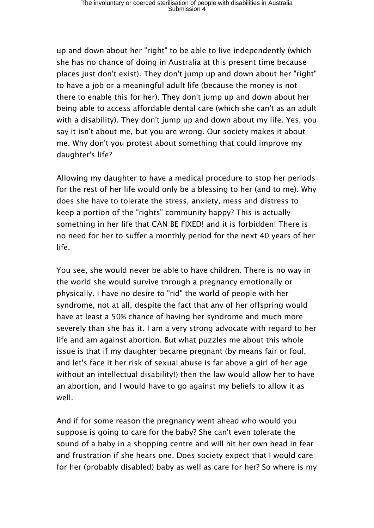up and down about her "right" to be able to live independently (which she has no chance of doing in Australia at this present time because places just don't exist). They don't jump up and down about her "right" to have a job or a meaningful adult life (because the money is not there to enable this for her). They don't jump up and down about her being able to access affordable dental care (which she can't as an adult with a disability). They don't jump up and down about my life. Yes, you say it isn't about me, but you are wrong. Our society makes it about me. Why don't you protest about something that could improve my daughter's life?

Allowing my daughter to have a medical procedure to stop her periods for the rest of her life would only be a blessing to her (and to me). Why does she have to tolerate the stress, anxiety, mess and distress to keep a portion of the "rights" community happy? This is actually something in her life that CAN BE FIXED! and it is forbidden! There is no need for her to suffer a monthly period for the next 40 years of her life.

You see, she would never be able to have children. There is no way in the world she would survive through a pregnancy emotionally or physically. I have no desire to "rid" the world of people with her syndrome, not at all, despite the fact that any of her offspring would have at least a 50% chance of having her syndrome and much more severely than she has it. I am a very strong advocate with regard to her life and am against abortion. But what puzzles me about this whole issue is that if my daughter became pregnant (by means fair or foul, and let's face it her risk of sexual abuse is far above a girl of her age without an intellectual disability!) then the law would allow her to have an abortion, and I would have to go against my beliefs to allow it as well.

And if for some reason the pregnancy went ahead who would you suppose is going to care for the baby? She can't even tolerate the sound of a baby in a shopping centre and will hit her own head in fear and frustration if she hears one. Does society expect that I would care for her (probably disabled) baby as well as care for her? So where is my